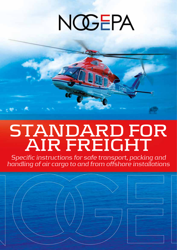# NOGEPA



*Specific instructions for safe transport, packing and handling of air cargo to and from offshore installations*

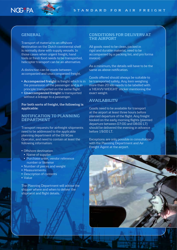

## **GENERAL**

Transport of material to an offshore destination on the Dutch continental shelf is normally done with supply vessels. In those cases when urgent freight, hand tools or fresh food needs to be transported, helicopter transport can be an alternative.

A distinction can be made between accompanied and unaccompanied freight.

- **Accompanied freight** is freight which is in the possession of the passenger and is in principle transported on the same flight.
- **Unaccompanied freight** is transported without a linkage to a passenger.

#### **For both sorts of freight, the following is applicable:**

### **NOTIFICATION TO PLANNING DEPARTMENT**

Transport requests for airfreight shipments need to be addressed to the applicable planning department of the Oil &Gas Operator, and need to contain at least the following information:

- Offshore destination
- Name of supplier
- Purchase order, vendor reference number or likewise
- Number of pieces and weight
- Measurements
- Description of contents
- Value

The Planning Department will advise the shipper where and when to deliver the shipment and flight details.

#### **CONDITIONS FOR DELIVERY AT THE AIRPORT**

All goods need to be clean, packed in rigid and durable material, need to be accompanied by a packing list, and pro forma invoice).

As a minimum, the details will have to be the same as above notification.

Goods offered should always be suitable to be transported safely. Any item weighing more than 20 kilo needs to be labelled with a 'HEAVY WEIGHT' sticker mentioning the exact weight.

## **AVAILABILITY**

Goods need to be available for transport at the airport at least three hours before planned departure of the flight. Any freight booked on the early morning flights (planned departure between 07:00 and 08:00 LT) should be delivered the evening in advance before 19:00 LT.

Exceptions are only possible in consultation with the Planning Department and Air Freight Agent at the airport.

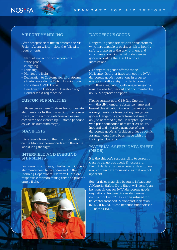



# **AIRPORT HANDLING**

After acceptance of the shipments the Air Freight Agent will complete the following requirements:

- Manual inspection of the contents of the goods
- Weighing
- Labelling
- Manifest to flight
- Declaration to Customs (for all platforms situated outside the Dutch 12 mile zone and values > 200 Euros)
- Hand over to Helicopter Operator Cargo Handler via X-ray machine.

# **CUSTOM FORMALITIES**

In those cases were Custom Authorities stop shipments for further inspection, goods need to stay at the airport until formalities are completed and cleared by Customs (inbound as well as outbound cargo).

## **MANIFESTS**

It is a legal obligation that the information on the Manifest corresponds with the actual load during the flight.

#### **INTERFIELD AND INBOUND SHIPMENTS**

For planning purposes, interfield and inbound shipments need to be addressed to the Planning Department. Platform OIM's are responsible for manifesting these shipments onto a flight.



## **DANGEROUS GOODS**

Dangerous goods are articles or substances which are capable of posing a risk to health, safety, property or the environment and which are shown in the list of dangerous goods according the ICAO Technical Instructions.

All dangerous goods offered to the Helicopter Operator have to meet the IATA dangerous goods regulations in order to ensure aircraft safety. In order to comply with these regulations, all dangerous goods must be labelled, packed and documented by an IATA approved shipper.

Please contact your Oil & Gas Operator with the UN number, substance name and hazard classification in order to make proper arrangements for transporting dangerous goods. Dangerous goods transport might only be accepted by the Helicopter Operator with prior notification of at least 24 hours. Inbound and interfield transport of any dangerous goods is forbidden unless specific arrangements have been made with the Helicopter Operator.

## **MATERIAL SAFETY DATA SHEET (MSDS)**

It is the shipper's responsibility to correctly classify dangerous goods if necessary. Freight declared under a general description may contain hazardous articles that are not apparent.

Such articles may also be found in baggage. A Material Safety Data Sheet will identify an item suspicious for IATA dangerous goods regulations. Any suspicious dangerous item without an MSDS. can be refused for helicopter transport. A transport indication (IATA, IMO, ADR) can be found under article 14 of the MSDS.